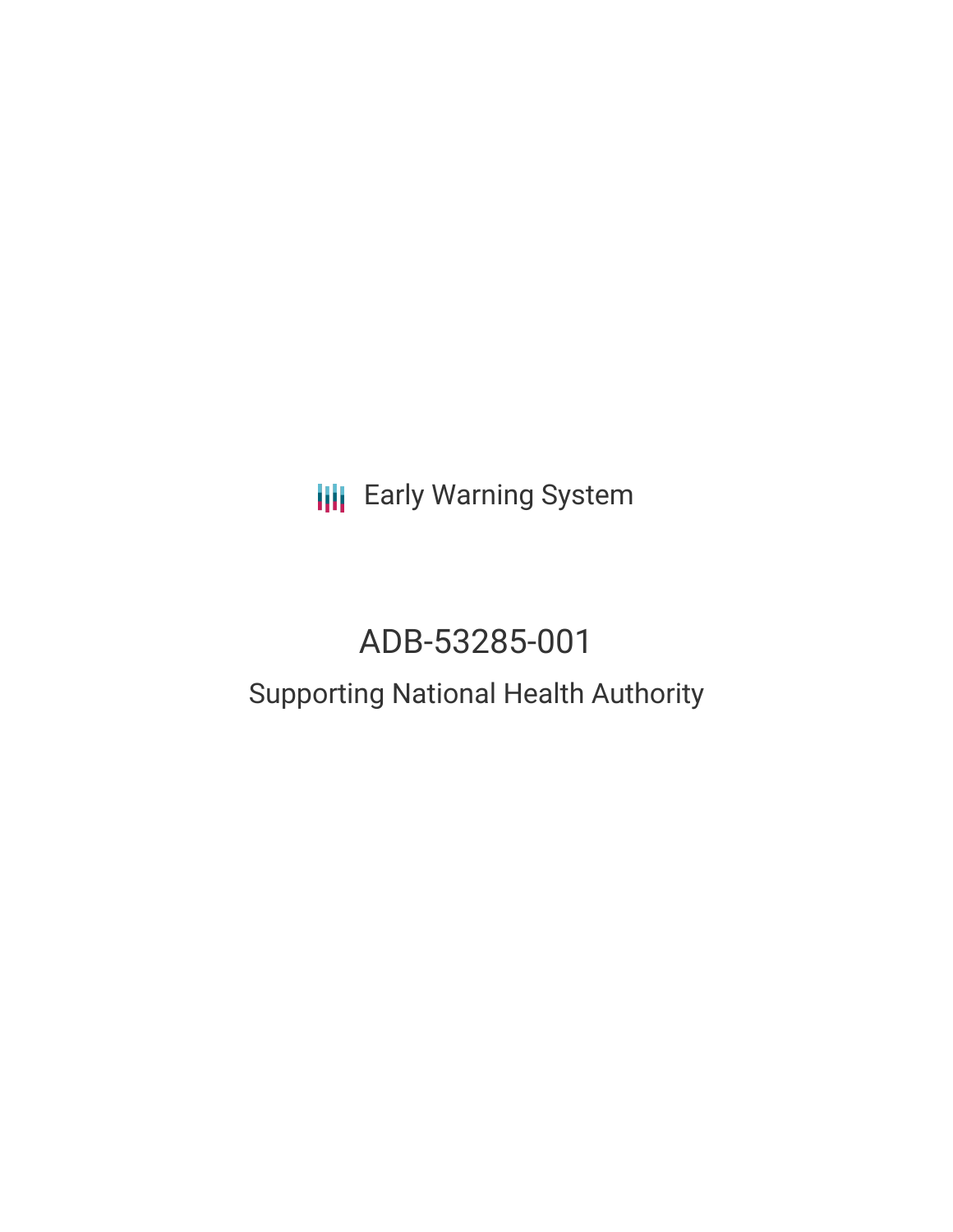**III** Early Warning System

# ADB-53285-001

## Supporting National Health Authority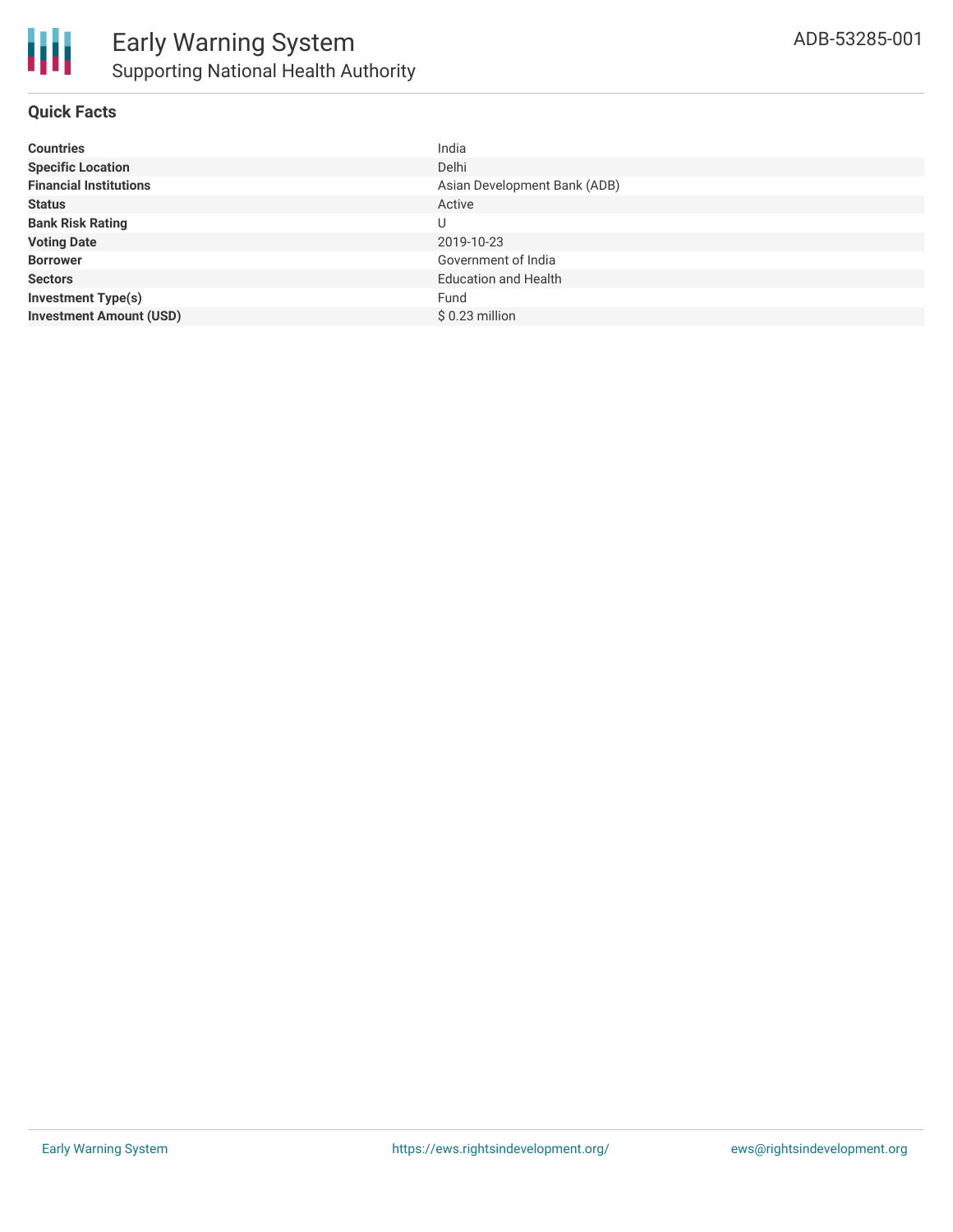### **Quick Facts**

| <b>Countries</b>               | India                        |
|--------------------------------|------------------------------|
| <b>Specific Location</b>       | Delhi                        |
| <b>Financial Institutions</b>  | Asian Development Bank (ADB) |
| <b>Status</b>                  | Active                       |
| <b>Bank Risk Rating</b>        | U                            |
| <b>Voting Date</b>             | 2019-10-23                   |
| <b>Borrower</b>                | Government of India          |
| <b>Sectors</b>                 | <b>Education and Health</b>  |
| <b>Investment Type(s)</b>      | Fund                         |
| <b>Investment Amount (USD)</b> | \$0.23 million               |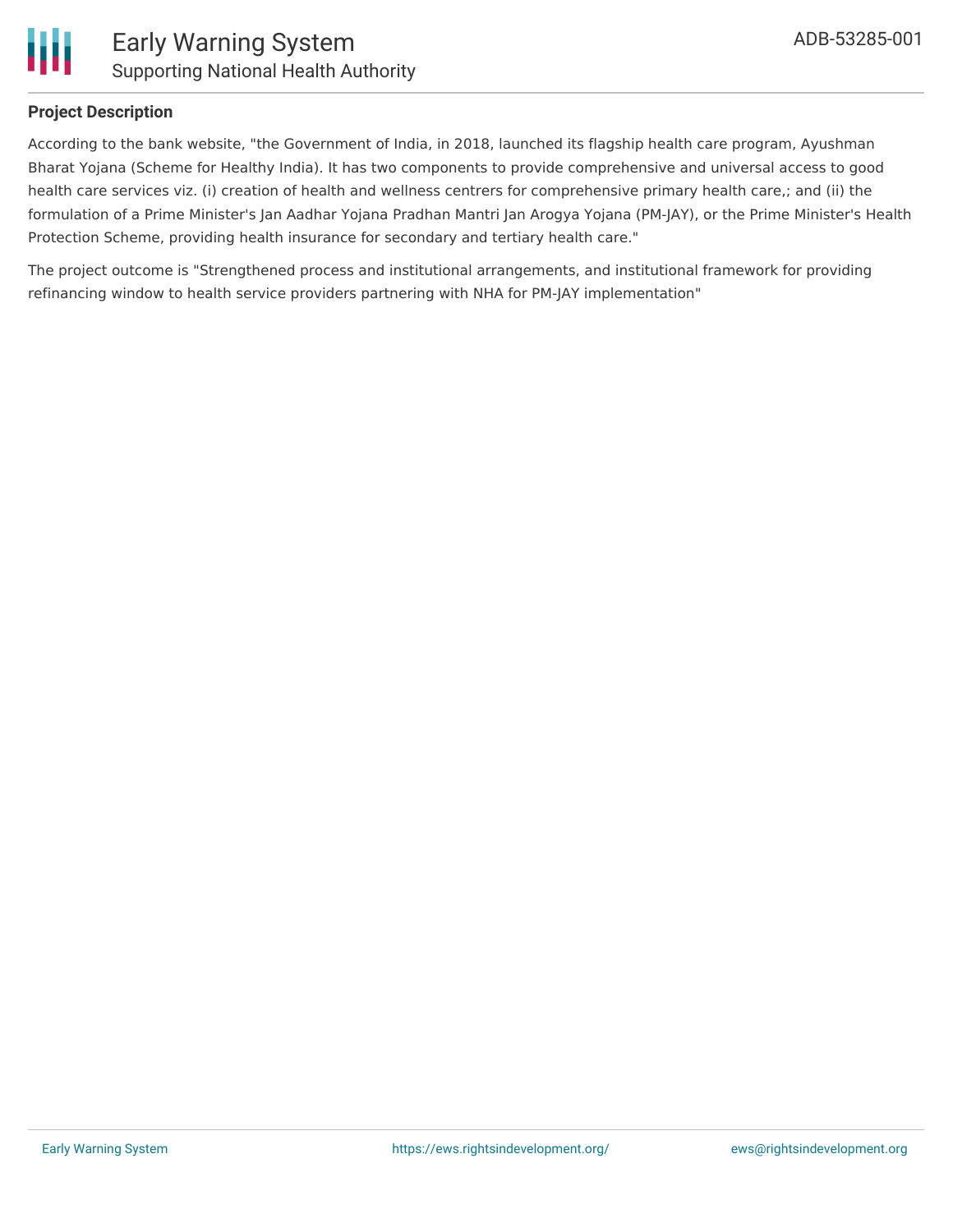

#### **Project Description**

According to the bank website, "the Government of India, in 2018, launched its flagship health care program, Ayushman Bharat Yojana (Scheme for Healthy India). It has two components to provide comprehensive and universal access to good health care services viz. (i) creation of health and wellness centrers for comprehensive primary health care,; and (ii) the formulation of a Prime Minister's Jan Aadhar Yojana Pradhan Mantri Jan Arogya Yojana (PM-JAY), or the Prime Minister's Health Protection Scheme, providing health insurance for secondary and tertiary health care."

The project outcome is "Strengthened process and institutional arrangements, and institutional framework for providing refinancing window to health service providers partnering with NHA for PM-JAY implementation"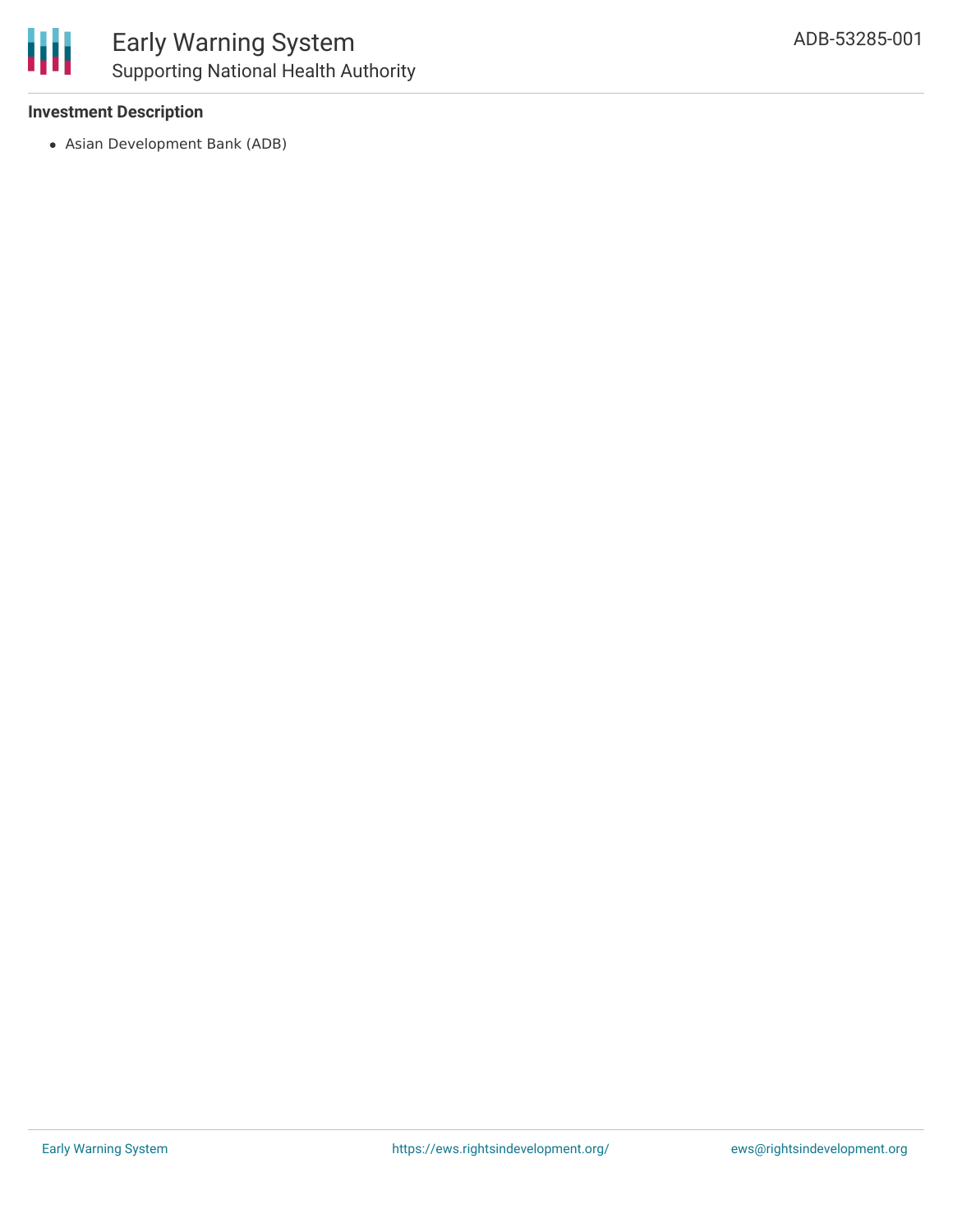#### **Investment Description**

Asian Development Bank (ADB)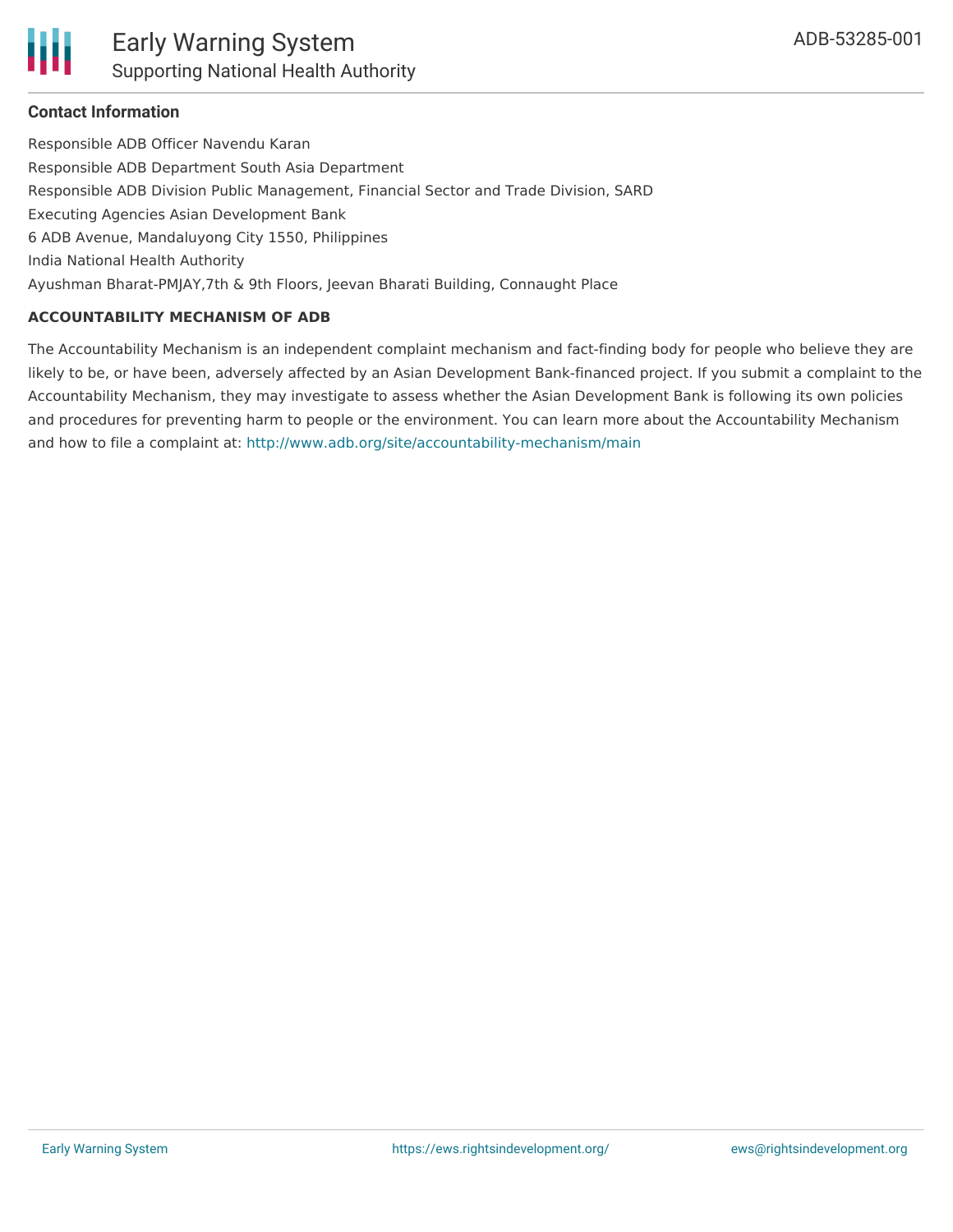

### **Contact Information**

Responsible ADB Officer Navendu Karan Responsible ADB Department South Asia Department Responsible ADB Division Public Management, Financial Sector and Trade Division, SARD Executing Agencies Asian Development Bank 6 ADB Avenue, Mandaluyong City 1550, Philippines India National Health Authority Ayushman Bharat-PMJAY,7th & 9th Floors, Jeevan Bharati Building, Connaught Place

#### **ACCOUNTABILITY MECHANISM OF ADB**

The Accountability Mechanism is an independent complaint mechanism and fact-finding body for people who believe they are likely to be, or have been, adversely affected by an Asian Development Bank-financed project. If you submit a complaint to the Accountability Mechanism, they may investigate to assess whether the Asian Development Bank is following its own policies and procedures for preventing harm to people or the environment. You can learn more about the Accountability Mechanism and how to file a complaint at: <http://www.adb.org/site/accountability-mechanism/main>